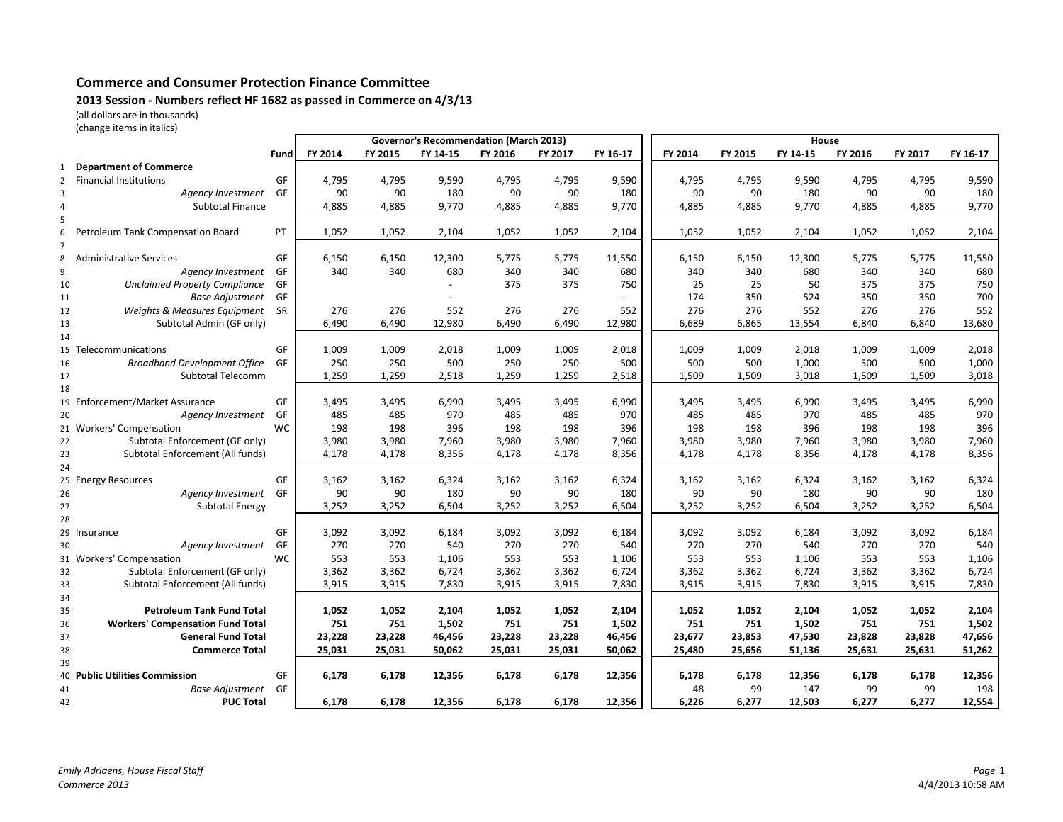## Commerce and Consumer Protection Finance Committee

## 2013 Session - Numbers reflect HF 1682 as passed in Commerce on 4/3/13

(all dollars are in thousands)

| (change items in italics) |  |  |  |
|---------------------------|--|--|--|
|---------------------------|--|--|--|

|                |                                         |           | <b>Governor's Recommendation (March 2013)</b> |         |                |         |         |          | House   |         |          |         |         |          |
|----------------|-----------------------------------------|-----------|-----------------------------------------------|---------|----------------|---------|---------|----------|---------|---------|----------|---------|---------|----------|
|                |                                         | Fund      | FY 2014                                       | FY 2015 | FY 14-15       | FY 2016 | FY 2017 | FY 16-17 | FY 2014 | FY 2015 | FY 14-15 | FY 2016 | FY 2017 | FY 16-17 |
| 1              | <b>Department of Commerce</b>           |           |                                               |         |                |         |         |          |         |         |          |         |         |          |
| $\overline{2}$ | <b>Financial Institutions</b>           | GF        | 4,795                                         | 4,795   | 9,590          | 4,795   | 4,795   | 9,590    | 4,795   | 4,795   | 9,590    | 4,795   | 4,795   | 9,590    |
| 3              | Agency Investment                       | GF        | 90                                            | 90      | 180            | 90      | 90      | 180      | 90      | 90      | 180      | 90      | 90      | 180      |
| 4              | <b>Subtotal Finance</b>                 |           | 4,885                                         | 4,885   | 9,770          | 4,885   | 4,885   | 9,770    | 4,885   | 4,885   | 9,770    | 4,885   | 4,885   | 9,770    |
| 5              |                                         |           |                                               |         |                |         |         |          |         |         |          |         |         |          |
| 6              | Petroleum Tank Compensation Board       | <b>PT</b> | 1,052                                         | 1,052   | 2,104          | 1,052   | 1,052   | 2,104    | 1,052   | 1,052   | 2,104    | 1,052   | 1,052   | 2,104    |
|                |                                         |           |                                               |         |                |         |         |          |         |         |          |         |         |          |
| 8              | <b>Administrative Services</b>          | GF        | 6,150                                         | 6,150   | 12,300         | 5,775   | 5,775   | 11,550   | 6,150   | 6,150   | 12,300   | 5,775   | 5,775   | 11,550   |
| 9              | Agency Investment                       | GF        | 340                                           | 340     | 680            | 340     | 340     | 680      | 340     | 340     | 680      | 340     | 340     | 680      |
| 10             | <b>Unclaimed Property Compliance</b>    | GF        |                                               |         | $\blacksquare$ | 375     | 375     | 750      | 25      | 25      | 50       | 375     | 375     | 750      |
| 11             | <b>Base Adjustment</b>                  | GF        |                                               |         |                |         |         |          | 174     | 350     | 524      | 350     | 350     | 700      |
| 12             | Weights & Measures Equipment            | <b>SR</b> | 276                                           | 276     | 552            | 276     | 276     | 552      | 276     | 276     | 552      | 276     | 276     | 552      |
| 13             | Subtotal Admin (GF only)                |           | 6,490                                         | 6,490   | 12,980         | 6,490   | 6,490   | 12,980   | 6,689   | 6,865   | 13,554   | 6,840   | 6,840   | 13,680   |
| 14             |                                         |           |                                               |         |                |         |         |          |         |         |          |         |         |          |
| 15             | Telecommunications                      | GF        | 1,009                                         | 1,009   | 2,018          | 1,009   | 1,009   | 2,018    | 1,009   | 1,009   | 2,018    | 1,009   | 1,009   | 2,018    |
| 16             | <b>Broadband Development Office</b>     | GF        | 250                                           | 250     | 500            | 250     | 250     | 500      | 500     | 500     | 1,000    | 500     | 500     | 1,000    |
| 17             | Subtotal Telecomm                       |           | 1,259                                         | 1,259   | 2,518          | 1,259   | 1,259   | 2,518    | 1,509   | 1,509   | 3,018    | 1,509   | 1,509   | 3,018    |
| 18             |                                         |           |                                               |         |                |         |         |          |         |         |          |         |         |          |
|                | 19 Enforcement/Market Assurance         | GF        | 3,495                                         | 3,495   | 6,990          | 3,495   | 3,495   | 6,990    | 3,495   | 3,495   | 6,990    | 3,495   | 3,495   | 6,990    |
| 20             | Agency Investment                       | GF        | 485                                           | 485     | 970            | 485     | 485     | 970      | 485     | 485     | 970      | 485     | 485     | 970      |
|                | 21 Workers' Compensation                | <b>WC</b> | 198                                           | 198     | 396            | 198     | 198     | 396      | 198     | 198     | 396      | 198     | 198     | 396      |
| 22             | Subtotal Enforcement (GF only)          |           | 3,980                                         | 3,980   | 7,960          | 3,980   | 3,980   | 7,960    | 3,980   | 3,980   | 7,960    | 3,980   | 3,980   | 7,960    |
| 23             | Subtotal Enforcement (All funds)        |           | 4,178                                         | 4,178   | 8,356          | 4,178   | 4,178   | 8,356    | 4,178   | 4,178   | 8,356    | 4,178   | 4,178   | 8,356    |
| 24             |                                         |           |                                               |         |                |         |         |          |         |         |          |         |         |          |
| 25             | <b>Energy Resources</b>                 | GF        | 3,162                                         | 3,162   | 6,324          | 3,162   | 3,162   | 6,324    | 3,162   | 3,162   | 6,324    | 3,162   | 3,162   | 6,324    |
| 26             | Agency Investment                       | GF        | 90                                            | 90      | 180            | 90      | 90      | 180      | 90      | 90      | 180      | 90      | 90      | 180      |
| 27             | Subtotal Energy                         |           | 3,252                                         | 3,252   | 6,504          | 3,252   | 3,252   | 6,504    | 3,252   | 3,252   | 6,504    | 3,252   | 3,252   | 6,504    |
| 28             |                                         |           |                                               |         |                |         |         |          |         |         |          |         |         |          |
|                | 29 Insurance                            | GF        | 3,092                                         | 3,092   | 6,184          | 3,092   | 3,092   | 6,184    | 3,092   | 3,092   | 6,184    | 3,092   | 3,092   | 6,184    |
| 30             | Agency Investment                       | GF        | 270                                           | 270     | 540            | 270     | 270     | 540      | 270     | 270     | 540      | 270     | 270     | 540      |
|                | 31 Workers' Compensation                | <b>WC</b> | 553                                           | 553     | 1,106          | 553     | 553     | 1,106    | 553     | 553     | 1,106    | 553     | 553     | 1,106    |
| 32             | Subtotal Enforcement (GF only)          |           | 3,362                                         | 3,362   | 6,724          | 3,362   | 3,362   | 6,724    | 3,362   | 3,362   | 6,724    | 3,362   | 3,362   | 6,724    |
| 33             | Subtotal Enforcement (All funds)        |           | 3,915                                         | 3,915   | 7,830          | 3,915   | 3,915   | 7,830    | 3,915   | 3,915   | 7,830    | 3,915   | 3,915   | 7,830    |
| 34             |                                         |           |                                               |         |                |         |         |          |         |         |          |         |         |          |
| 35             | <b>Petroleum Tank Fund Total</b>        |           | 1,052                                         | 1,052   | 2,104          | 1,052   | 1,052   | 2,104    | 1,052   | 1,052   | 2,104    | 1,052   | 1,052   | 2,104    |
| 36             | <b>Workers' Compensation Fund Total</b> |           | 751                                           | 751     | 1,502          | 751     | 751     | 1,502    | 751     | 751     | 1,502    | 751     | 751     | 1,502    |
| 37             | <b>General Fund Total</b>               |           | 23,228                                        | 23,228  | 46,456         | 23,228  | 23,228  | 46,456   | 23,677  | 23,853  | 47,530   | 23,828  | 23,828  | 47,656   |
| 38             | <b>Commerce Total</b>                   |           | 25,031                                        | 25,031  | 50,062         | 25,031  | 25,031  | 50,062   | 25,480  | 25,656  | 51,136   | 25,631  | 25,631  | 51,262   |
| 39             |                                         |           |                                               |         |                |         |         |          |         |         |          |         |         |          |
|                | 40 Public Utilities Commission          | GF        | 6,178                                         | 6,178   | 12,356         | 6,178   | 6,178   | 12,356   | 6,178   | 6,178   | 12,356   | 6,178   | 6,178   | 12,356   |
| 41             | <b>Base Adjustment</b>                  | GF        |                                               |         |                |         |         |          | 48      | 99      | 147      | 99      | 99      | 198      |
| 42             | <b>PUC Total</b>                        |           | 6,178                                         | 6,178   | 12,356         | 6,178   | 6,178   | 12,356   | 6,226   | 6,277   | 12,503   | 6,277   | 6,277   | 12,554   |